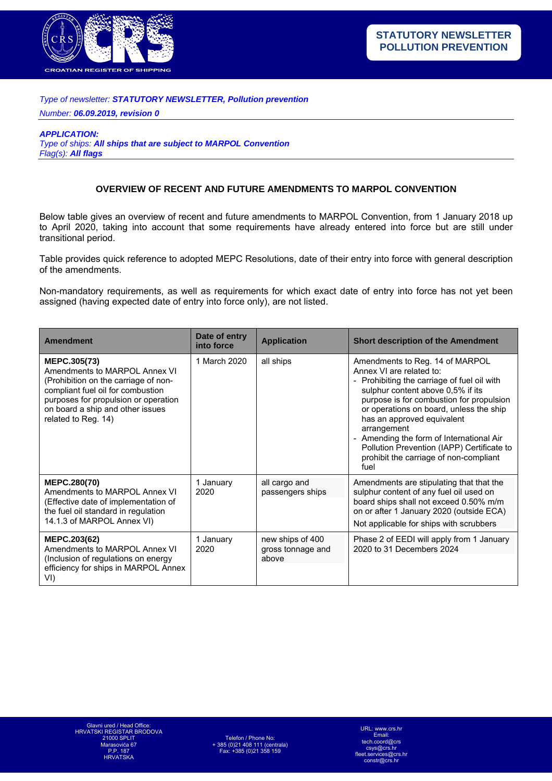

## *Type of newsletter: STATUTORY NEWSLETTER, Pollution prevention*

*Number: 06.09.2019, revision 0* 

*APPLICATION:* 

*Type of ships: All ships that are subject to MARPOL Convention Flag(s): All flags*

## **OVERVIEW OF RECENT AND FUTURE AMENDMENTS TO MARPOL CONVENTION**

Below table gives an overview of recent and future amendments to MARPOL Convention, from 1 January 2018 up to April 2020, taking into account that some requirements have already entered into force but are still under transitional period.

Table provides quick reference to adopted MEPC Resolutions, date of their entry into force with general description of the amendments.

Non-mandatory requirements, as well as requirements for which exact date of entry into force has not yet been assigned (having expected date of entry into force only), are not listed.

| <b>Amendment</b>                                                                                                                                                                                                              | Date of entry<br>into force | <b>Application</b>                             | <b>Short description of the Amendment</b>                                                                                                                                                                                                                                                                                                                                                                                     |
|-------------------------------------------------------------------------------------------------------------------------------------------------------------------------------------------------------------------------------|-----------------------------|------------------------------------------------|-------------------------------------------------------------------------------------------------------------------------------------------------------------------------------------------------------------------------------------------------------------------------------------------------------------------------------------------------------------------------------------------------------------------------------|
| MEPC.305(73)<br>Amendments to MARPOL Annex VI<br>(Prohibition on the carriage of non-<br>compliant fuel oil for combustion<br>purposes for propulsion or operation<br>on board a ship and other issues<br>related to Reg. 14) | 1 March 2020                | all ships                                      | Amendments to Reg. 14 of MARPOL<br>Annex VI are related to:<br>Prohibiting the carriage of fuel oil with<br>sulphur content above 0,5% if its<br>purpose is for combustion for propulsion<br>or operations on board, unless the ship<br>has an approved equivalent<br>arrangement<br>- Amending the form of International Air<br>Pollution Prevention (IAPP) Certificate to<br>prohibit the carriage of non-compliant<br>fuel |
| <b>MEPC.280(70)</b><br>Amendments to MARPOL Annex VI<br>(Effective date of implementation of<br>the fuel oil standard in regulation<br>14.1.3 of MARPOL Annex VI)                                                             | 1 January<br>2020           | all cargo and<br>passengers ships              | Amendments are stipulating that that the<br>sulphur content of any fuel oil used on<br>board ships shall not exceed 0.50% m/m<br>on or after 1 January 2020 (outside ECA)<br>Not applicable for ships with scrubbers                                                                                                                                                                                                          |
| <b>MEPC.203(62)</b><br>Amendments to MARPOL Annex VI<br>(Inclusion of regulations on energy<br>efficiency for ships in MARPOL Annex<br>VI)                                                                                    | 1 January<br>2020           | new ships of 400<br>gross tonnage and<br>above | Phase 2 of EEDI will apply from 1 January<br>2020 to 31 Decembers 2024                                                                                                                                                                                                                                                                                                                                                        |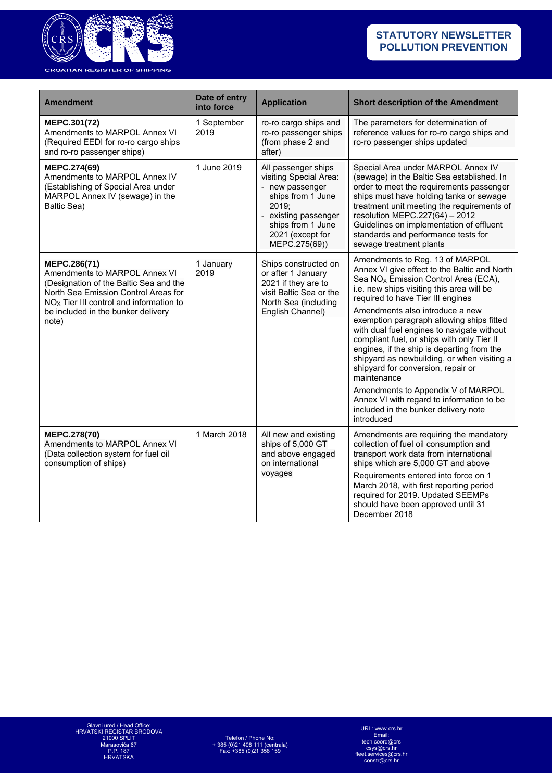

| <b>Amendment</b>                                                                                                                                                                                                            | Date of entry<br>into force | <b>Application</b>                                                                                                                                                               | <b>Short description of the Amendment</b>                                                                                                                                                                                                                                                                                                                                                                                                                                                                                                                                                                                                                                                    |
|-----------------------------------------------------------------------------------------------------------------------------------------------------------------------------------------------------------------------------|-----------------------------|----------------------------------------------------------------------------------------------------------------------------------------------------------------------------------|----------------------------------------------------------------------------------------------------------------------------------------------------------------------------------------------------------------------------------------------------------------------------------------------------------------------------------------------------------------------------------------------------------------------------------------------------------------------------------------------------------------------------------------------------------------------------------------------------------------------------------------------------------------------------------------------|
| MEPC.301(72)<br>Amendments to MARPOL Annex VI<br>(Required EEDI for ro-ro cargo ships<br>and ro-ro passenger ships)                                                                                                         | 1 September<br>2019         | ro-ro cargo ships and<br>ro-ro passenger ships<br>(from phase 2 and<br>after)                                                                                                    | The parameters for determination of<br>reference values for ro-ro cargo ships and<br>ro-ro passenger ships updated                                                                                                                                                                                                                                                                                                                                                                                                                                                                                                                                                                           |
| MEPC.274(69)<br>Amendments to MARPOL Annex IV<br>(Establishing of Special Area under<br>MARPOL Annex IV (sewage) in the<br>Baltic Sea)                                                                                      | 1 June 2019                 | All passenger ships<br>visiting Special Area:<br>- new passenger<br>ships from 1 June<br>2019;<br>- existing passenger<br>ships from 1 June<br>2021 (except for<br>MEPC.275(69)) | Special Area under MARPOL Annex IV<br>(sewage) in the Baltic Sea established. In<br>order to meet the requirements passenger<br>ships must have holding tanks or sewage<br>treatment unit meeting the requirements of<br>resolution MEPC.227(64) - 2012<br>Guidelines on implementation of effluent<br>standards and performance tests for<br>sewage treatment plants                                                                                                                                                                                                                                                                                                                        |
| MEPC.286(71)<br>Amendments to MARPOL Annex VI<br>(Designation of the Baltic Sea and the<br>North Sea Emission Control Areas for<br>$NOx$ Tier III control and information to<br>be included in the bunker delivery<br>note) | 1 January<br>2019           | Ships constructed on<br>or after 1 January<br>2021 if they are to<br>visit Baltic Sea or the<br>North Sea (including<br>English Channel)                                         | Amendments to Reg. 13 of MARPOL<br>Annex VI give effect to the Baltic and North<br>Sea NO <sub>X</sub> Emission Control Area (ECA),<br>i.e. new ships visiting this area will be<br>required to have Tier III engines<br>Amendments also introduce a new<br>exemption paragraph allowing ships fitted<br>with dual fuel engines to navigate without<br>compliant fuel, or ships with only Tier II<br>engines, if the ship is departing from the<br>shipyard as newbuilding, or when visiting a<br>shipyard for conversion, repair or<br>maintenance<br>Amendments to Appendix V of MARPOL<br>Annex VI with regard to information to be<br>included in the bunker delivery note<br>introduced |
| MEPC.278(70)<br>Amendments to MARPOL Annex VI<br>(Data collection system for fuel oil<br>consumption of ships)                                                                                                              | 1 March 2018                | All new and existing<br>ships of 5,000 GT<br>and above engaged<br>on international<br>voyages                                                                                    | Amendments are requiring the mandatory<br>collection of fuel oil consumption and<br>transport work data from international<br>ships which are 5,000 GT and above<br>Requirements entered into force on 1<br>March 2018, with first reporting period<br>required for 2019. Updated SEEMPs<br>should have been approved until 31<br>December 2018                                                                                                                                                                                                                                                                                                                                              |

URL: www.crs.hr Email: tech.coord@crs csys@crs.hr fleet.services@crs.hr constr@crs.hr